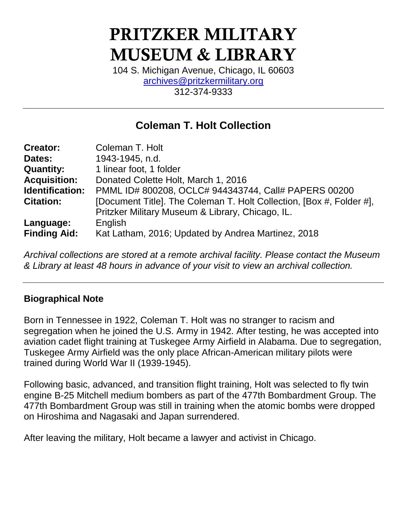# **PRITZKER MILITARY MUSEUM & LIBRARY**

104 S. Michigan Avenue, Chicago, IL 60603 [archives@pritzkermilitary.org](mailto:archives@pritzkermilitary.org) 312-374-9333

## **Coleman T. Holt Collection**

| <b>Creator:</b>     | Coleman T. Holt                                                      |
|---------------------|----------------------------------------------------------------------|
| Dates:              | 1943-1945, n.d.                                                      |
| <b>Quantity:</b>    | 1 linear foot, 1 folder                                              |
| <b>Acquisition:</b> | Donated Colette Holt, March 1, 2016                                  |
| Identification:     | PMML ID# 800208, OCLC# 944343744, Call# PAPERS 00200                 |
| <b>Citation:</b>    | [Document Title]. The Coleman T. Holt Collection, [Box #, Folder #], |
|                     | Pritzker Military Museum & Library, Chicago, IL.                     |
| Language:           | English                                                              |
| <b>Finding Aid:</b> | Kat Latham, 2016; Updated by Andrea Martinez, 2018                   |

*Archival collections are stored at a remote archival facility. Please contact the Museum & Library at least 48 hours in advance of your visit to view an archival collection.*

### **Biographical Note**

Born in Tennessee in 1922, Coleman T. Holt was no stranger to racism and segregation when he joined the U.S. Army in 1942. After testing, he was accepted into aviation cadet flight training at Tuskegee Army Airfield in Alabama. Due to segregation, Tuskegee Army Airfield was the only place African-American military pilots were trained during World War II (1939-1945).

Following basic, advanced, and transition flight training, Holt was selected to fly twin engine B-25 Mitchell medium bombers as part of the 477th Bombardment Group. The 477th Bombardment Group was still in training when the atomic bombs were dropped on Hiroshima and Nagasaki and Japan surrendered.

After leaving the military, Holt became a lawyer and activist in Chicago.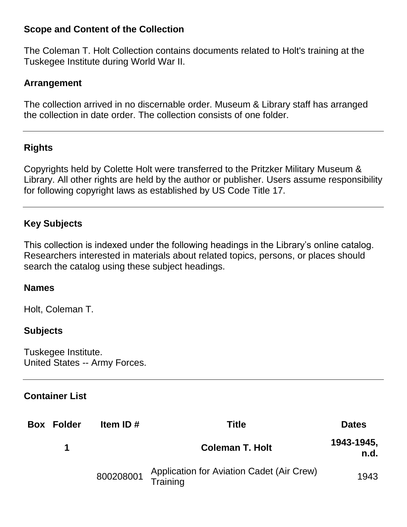#### **Scope and Content of the Collection**

The Coleman T. Holt Collection contains documents related to Holt's training at the Tuskegee Institute during World War II.

#### **Arrangement**

The collection arrived in no discernable order. Museum & Library staff has arranged the collection in date order. The collection consists of one folder.

#### **Rights**

Copyrights held by Colette Holt were transferred to the Pritzker Military Museum & Library. All other rights are held by the author or publisher. Users assume responsibility for following copyright laws as established by US Code Title 17.

#### **Key Subjects**

This collection is indexed under the following headings in the Library's online catalog. Researchers interested in materials about related topics, persons, or places should search the catalog using these subject headings.

#### **Names**

Holt, Coleman T.

#### **Subjects**

Tuskegee Institute. United States -- Army Forces.

#### **Container List**

| <b>Box Folder</b> | Item ID# | <b>Title</b>                                                    | <b>Dates</b>       |
|-------------------|----------|-----------------------------------------------------------------|--------------------|
|                   |          | <b>Coleman T. Holt</b>                                          | 1943-1945,<br>n.d. |
|                   |          | 800208001 Application for Aviation Cadet (Air Crew)<br>Training | 1943               |